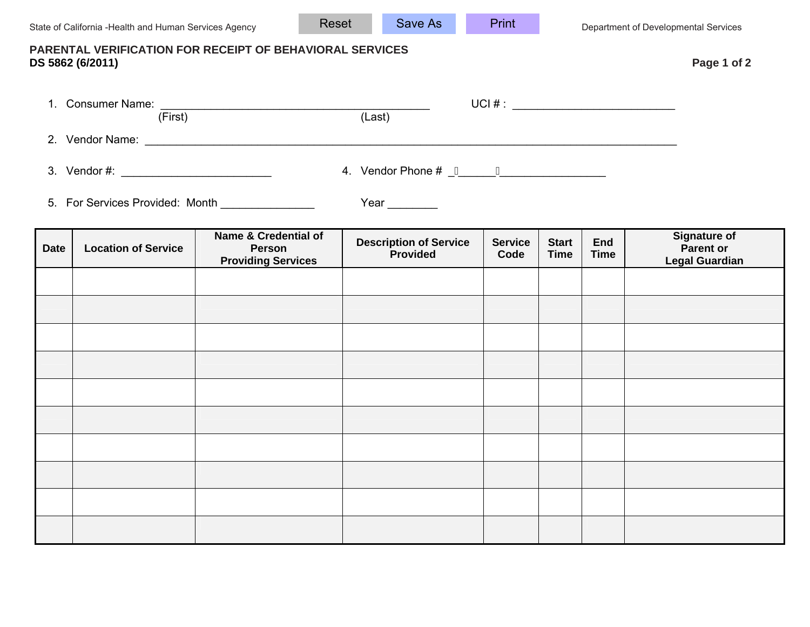Print

| PARENTAL VERIFICATION FOR RECEIPT OF BEHAVIORAL SERVICES<br>DS 5862 (6/2011)  |                               |                                                                    |                                                  |                        |                             |                           | Page 1 of 2                                                      |
|-------------------------------------------------------------------------------|-------------------------------|--------------------------------------------------------------------|--------------------------------------------------|------------------------|-----------------------------|---------------------------|------------------------------------------------------------------|
|                                                                               |                               | 1. Consumer Name: (First) (Last)                                   | UCI # : _________________________________        |                        |                             |                           |                                                                  |
|                                                                               |                               |                                                                    |                                                  |                        |                             |                           |                                                                  |
|                                                                               | 4. Vendor Phone $\# \_Q \_ D$ |                                                                    |                                                  |                        |                             |                           |                                                                  |
| 5. For Services Provided: Month _______________<br>Year $\_\_\_\_\_\_\_\_\_\$ |                               |                                                                    |                                                  |                        |                             |                           |                                                                  |
| <b>Date</b>                                                                   | <b>Location of Service</b>    | Name & Credential of<br><b>Person</b><br><b>Providing Services</b> | <b>Description of Service</b><br><b>Provided</b> | <b>Service</b><br>Code | <b>Start</b><br><b>Time</b> | <b>End</b><br><b>Time</b> | <b>Signature of</b><br><b>Parent or</b><br><b>Legal Guardian</b> |
|                                                                               |                               |                                                                    |                                                  |                        |                             |                           |                                                                  |
|                                                                               |                               |                                                                    |                                                  |                        |                             |                           |                                                                  |
|                                                                               |                               |                                                                    |                                                  |                        |                             |                           |                                                                  |
|                                                                               |                               |                                                                    |                                                  |                        |                             |                           |                                                                  |
|                                                                               |                               |                                                                    |                                                  |                        |                             |                           |                                                                  |
|                                                                               |                               |                                                                    |                                                  |                        |                             |                           |                                                                  |
|                                                                               |                               |                                                                    |                                                  |                        |                             |                           |                                                                  |
|                                                                               |                               |                                                                    |                                                  |                        |                             |                           |                                                                  |
|                                                                               |                               |                                                                    |                                                  |                        |                             |                           |                                                                  |
|                                                                               |                               |                                                                    |                                                  |                        |                             |                           |                                                                  |

Save As